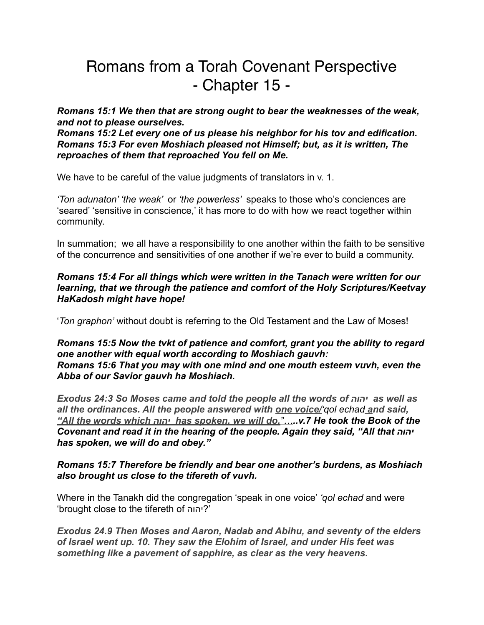# Romans from a Torah Covenant Perspective - Chapter 15 -

*Romans 15:1 We then that are strong ought to bear the weaknesses of the weak, and not to please ourselves.* 

*Romans 15:2 Let every one of us please his neighbor for his tov and edification. Romans 15:3 For even Moshiach pleased not Himself; but, as it is written, The reproaches of them that reproached You fell on Me.*

We have to be careful of the value judgments of translators in v. 1.

*'Ton adunaton' 'the weak'* or *'the powerless'* speaks to those who's conciences are 'seared' 'sensitive in conscience,' it has more to do with how we react together within community.

In summation; we all have a responsibility to one another within the faith to be sensitive of the concurrence and sensitivities of one another if we're ever to build a community.

# *Romans 15:4 For all things which were written in the Tanach were written for our learning, that we through the patience and comfort of the Holy Scriptures/Keetvay HaKadosh might have hope!*

'*Ton graphon'* without doubt is referring to the Old Testament and the Law of Moses!

#### *Romans 15:5 Now the tvkt of patience and comfort, grant you the ability to regard one another with equal worth according to Moshiach gauvh: Romans 15:6 That you may with one mind and one mouth esteem vuvh, even the Abba of our Savior gauvh ha Moshiach.*

*Exodus 24:3 So Moses came and told the people all the words of יהוה as well as all the ordinances. All the people answered with one voice/'qol echad and said, "All the words which יהוה has spoken, we will do."…..v.7 He took the Book of the Covenant and read it in the hearing of the people. Again they said, "All that יהוה has spoken, we will do and obey."*

# *Romans 15:7 Therefore be friendly and bear one another's burdens, as Moshiach also brought us close to the tifereth of vuvh.*

Where in the Tanakh did the congregation 'speak in one voice' *'qol echad* and were 'brought close to the tifereth of יהוה '?

*Exodus 24.9 Then Moses and Aaron, Nadab and Abihu, and seventy of the elders of Israel went up. 10. They saw the Elohim of Israel, and under His feet was something like a pavement of sapphire, as clear as the very heavens.*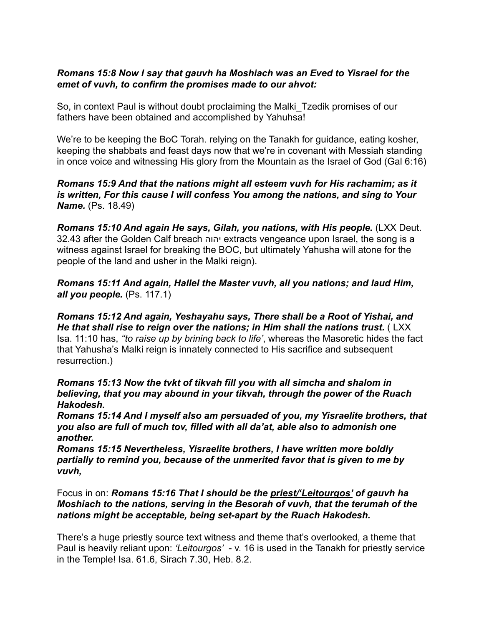## *Romans 15:8 Now I say that gauvh ha Moshiach was an Eved to Yisrael for the emet of vuvh, to confirm the promises made to our ahvot:*

So, in context Paul is without doubt proclaiming the Malki\_Tzedik promises of our fathers have been obtained and accomplished by Yahuhsa!

We're to be keeping the BoC Torah. relying on the Tanakh for guidance, eating kosher, keeping the shabbats and feast days now that we're in covenant with Messiah standing in once voice and witnessing His glory from the Mountain as the Israel of God (Gal 6:16)

*Romans 15:9 And that the nations might all esteem vuvh for His rachamim; as it is written, For this cause I will confess You among the nations, and sing to Your*  **Name.** (Ps. 18.49)

*Romans 15:10 And again He says, Gilah, you nations, with His people.* (LXX Deut. 32.43 after the Golden Calf breach יהוה extracts vengeance upon Israel, the song is a witness against Israel for breaking the BOC, but ultimately Yahusha will atone for the people of the land and usher in the Malki reign).

*Romans 15:11 And again, Hallel the Master vuvh, all you nations; and laud Him, all you people.* (Ps. 117.1)

*Romans 15:12 And again, Yeshayahu says, There shall be a Root of Yishai, and He that shall rise to reign over the nations; in Him shall the nations trust.* ( LXX Isa. 11:10 has, *''to raise up by brining back to life'*, whereas the Masoretic hides the fact that Yahusha's Malki reign is innately connected to His sacrifice and subsequent resurrection.)

*Romans 15:13 Now the tvkt of tikvah fill you with all simcha and shalom in believing, that you may abound in your tikvah, through the power of the Ruach Hakodesh.* 

*Romans 15:14 And I myself also am persuaded of you, my Yisraelite brothers, that you also are full of much tov, filled with all da'at, able also to admonish one another.*

*Romans 15:15 Nevertheless, Yisraelite brothers, I have written more boldly partially to remind you, because of the unmerited favor that is given to me by vuvh,*

Focus in on: *Romans 15:16 That I should be the priest/'Leitourgos' of gauvh ha Moshiach to the nations, serving in the Besorah of vuvh, that the terumah of the nations might be acceptable, being set-apart by the Ruach Hakodesh.*

There's a huge priestly source text witness and theme that's overlooked, a theme that Paul is heavily reliant upon: *'Leitourgos'* - v. 16 is used in the Tanakh for priestly service in the Temple! Isa. 61.6, Sirach 7.30, Heb. 8.2.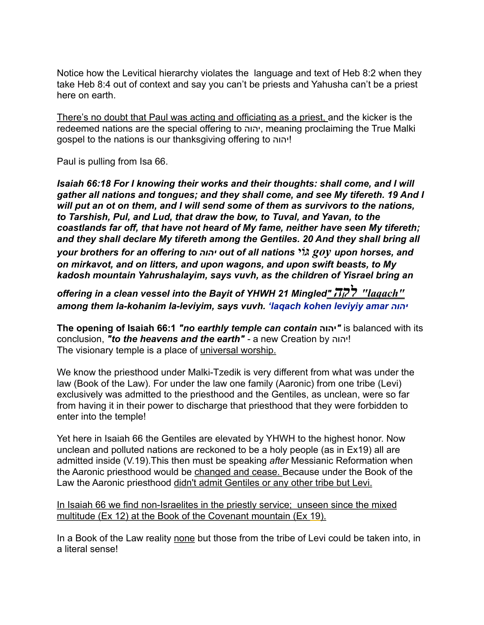Notice how the Levitical hierarchy violates the language and text of Heb 8:2 when they take Heb 8:4 out of context and say you can't be priests and Yahusha can't be a priest here on earth.

There's no doubt that Paul was acting and officiating as a priest, and the kicker is the redeemed nations are the special offering to יהוה, meaning proclaiming the True Malki gospel to the nations is our thanksgiving offering to יהוה !

Paul is pulling from Isa 66.

*Isaiah 66:18 For I knowing their works and their thoughts: shall come, and I will gather all nations and tongues; and they shall come, and see My tifereth. 19 And I will put an ot on them, and I will send some of them as survivors to the nations, to Tarshish, Pul, and Lud, that draw the bow, to Tuval, and Yavan, to the coastlands far off, that have not heard of My fame, neither have seen My tifereth; and they shall declare My tifereth among the Gentiles. 20 And they shall bring all your brothers for an offering to יהוה out of all nations גּוֹי goy upon horses, and on mirkavot, and on litters, and upon wagons, and upon swift beasts, to My kadosh mountain Yahrushalayim, says vuvh, as the children of Yisrael bring an* 

*offering in a clean vessel into the Bayit of YHWH 21 Mingled" לקה" laqach" among them la-kohanim la-leviyim, says vuvh. 'laqach kohen leviyiy amar יהוה*

**The opening of Isaiah 66:1** *"no earthly temple can contain* **יהוה** *"*is balanced with its conclusion, *"to the heavens and the earth" -* a new Creation by יהוה! The visionary temple is a place of universal worship.

We know the priesthood under Malki-Tzedik is very different from what was under the law (Book of the Law). For under the law one family (Aaronic) from one tribe (Levi) exclusively was admitted to the priesthood and the Gentiles, as unclean, were so far from having it in their power to discharge that priesthood that they were forbidden to enter into the temple!

Yet here in Isaiah 66 the Gentiles are elevated by YHWH to the highest honor. Now unclean and polluted nations are reckoned to be a holy people (as in Ex19) all are admitted inside (V.19).This then must be speaking *after* Messianic Reformation when the Aaronic priesthood would be changed and cease. Because under the Book of the Law the Aaronic priesthood didn't admit Gentiles or any other tribe but Levi.

In Isaiah 66 we find non-Israelites in the priestly service; unseen since the mixed multitude (Ex 12) at the Book of the Covenant mountain (Ex 19).

In a Book of the Law reality none but those from the tribe of Levi could be taken into, in a literal sense!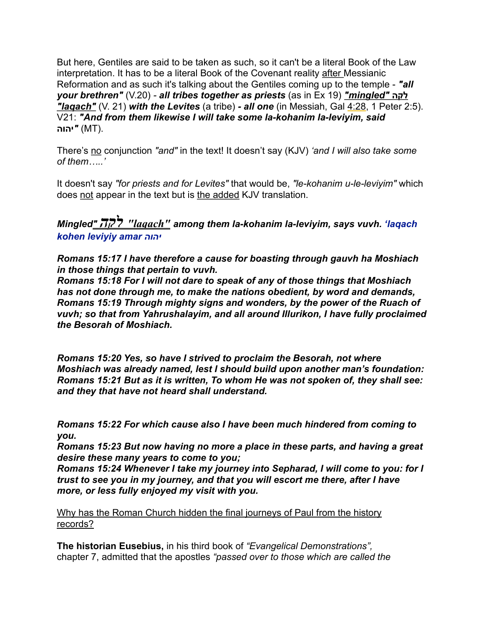But here, Gentiles are said to be taken as such, so it can't be a literal Book of the Law interpretation. It has to be a literal Book of the Covenant reality after Messianic Reformation and as such it's talking about the Gentiles coming up to the temple - *"all your brethren"* (V.20) *- all tribes together as priests* (as in Ex 19) *"mingled"* **לקה** *"laqach"* (V. 21) *with the Levites* (a tribe) *- all one* (in Messiah, Gal [4:28](x-apple-data-detectors://embedded-result/2835), 1 Peter 2:5). V21: *"And from them likewise I will take some la-kohanim la-leviyim, said*  .(MT*"* (**יהוה**

There's no conjunction "and" in the text! It doesn't say (KJV) 'and I will also take some *of them…..'* 

It doesn't say *"for priests and for Levites"* that would be, *"le-kohanim u-le-leviyim"* which does not appear in the text but is the added KJV translation.

*Mingled" לקה" laqach" among them la-kohanim la-leviyim, says vuvh. 'laqach kohen leviyiy amar יהוה*

*Romans 15:17 I have therefore a cause for boasting through gauvh ha Moshiach in those things that pertain to vuvh.* 

*Romans 15:18 For I will not dare to speak of any of those things that Moshiach has not done through me, to make the nations obedient, by word and demands, Romans 15:19 Through mighty signs and wonders, by the power of the Ruach of vuvh; so that from Yahrushalayim, and all around Illurikon, I have fully proclaimed the Besorah of Moshiach.*

*Romans 15:20 Yes, so have I strived to proclaim the Besorah, not where Moshiach was already named, lest I should build upon another man's foundation: Romans 15:21 But as it is written, To whom He was not spoken of, they shall see: and they that have not heard shall understand.*

*Romans 15:22 For which cause also I have been much hindered from coming to you.* 

*Romans 15:23 But now having no more a place in these parts, and having a great desire these many years to come to you;* 

*Romans 15:24 Whenever I take my journey into Sepharad, I will come to you: for I trust to see you in my journey, and that you will escort me there, after I have more, or less fully enjoyed my visit with you.*

Why has the Roman Church hidden the final journeys of Paul from the history records?

**The historian Eusebius,** in his third book of *"Evangelical Demonstrations",* chapter 7, admitted that the apostles *"passed over to those which are called the*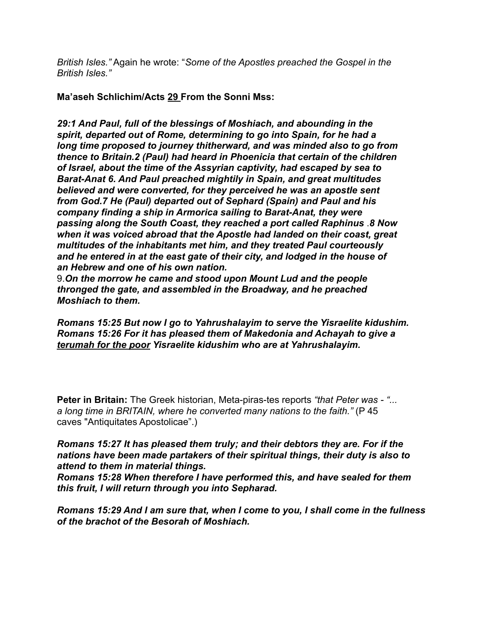*British Isles."* Again he wrote: "*Some of the Apostles preached the Gospel in the British Isles."* 

**Ma'aseh Schlichim/Acts 29 From the Sonni Mss:**

*29:1 And Paul, full of the blessings of Moshiach, and abounding in the spirit, departed out of Rome, determining to go into Spain, for he had a long time proposed to journey thitherward, and was minded also to go from thence to Britain.2 (Paul) had heard in Phoenicia that certain of the children of Israel, about the time of the Assyrian captivity, had escaped by sea to Barat-Anat 6. And Paul preached mightily in Spain, and great multitudes believed and were converted, for they perceived he was an apostle sent from God.7 He (Paul) departed out of Sephard (Spain) and Paul and his company finding a ship in Armorica sailing to Barat-Anat, they were passing along the South Coast, they reached a port called Raphinus* .*8 Now when it was voiced abroad that the Apostle had landed on their coast, great multitudes of the inhabitants met him, and they treated Paul courteously and he entered in at the east gate of their city, and lodged in the house of an Hebrew and one of his own nation.* 

9.*On the morrow he came and stood upon Mount Lud and the people thronged the gate, and assembled in the Broadway, and he preached Moshiach to them.*

*Romans 15:25 But now I go to Yahrushalayim to serve the Yisraelite kidushim. Romans 15:26 For it has pleased them of Makedonia and Achayah to give a terumah for the poor Yisraelite kidushim who are at Yahrushalayim.*

**Peter in Britain:** The Greek historian, Meta-piras-tes reports *"that Peter was - "... a long time in BRITAIN, where he converted many nations to the faith."* (P 45 caves "Antiquitates Apostolicae".)

#### *Romans 15:27 It has pleased them truly; and their debtors they are. For if the nations have been made partakers of their spiritual things, their duty is also to attend to them in material things.*

*Romans 15:28 When therefore I have performed this, and have sealed for them this fruit, I will return through you into Sepharad.*

*Romans 15:29 And I am sure that, when I come to you, I shall come in the fullness of the brachot of the Besorah of Moshiach.*